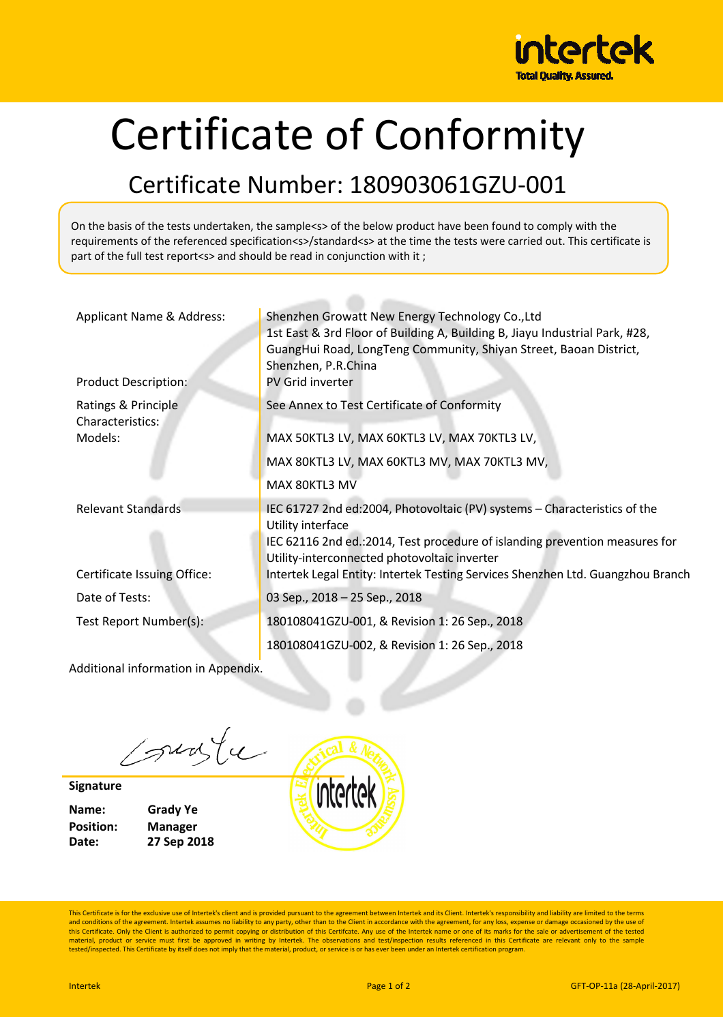

## Certificate of Conformity

## Certificate Number: 180903061GZU-001

On the basis of the tests undertaken, the sample<s> of the below product have been found to comply with the requirements of the referenced specification<s>/standard<s> at the time the tests were carried out. This certificate is part of the full test report<s> and should be read in conjunction with it;

| Applicant Name & Address:<br><b>Product Description:</b> | Shenzhen Growatt New Energy Technology Co., Ltd<br>1st East & 3rd Floor of Building A, Building B, Jiayu Industrial Park, #28,<br>GuangHui Road, LongTeng Community, Shiyan Street, Baoan District,<br>Shenzhen, P.R.China<br>PV Grid inverter                                                                    |
|----------------------------------------------------------|-------------------------------------------------------------------------------------------------------------------------------------------------------------------------------------------------------------------------------------------------------------------------------------------------------------------|
| Ratings & Principle<br>Characteristics:<br>Models:       | See Annex to Test Certificate of Conformity<br>MAX 50KTL3 LV, MAX 60KTL3 LV, MAX 70KTL3 LV,<br>MAX 80KTL3 LV, MAX 60KTL3 MV, MAX 70KTL3 MV,<br>MAX 80KTL3 MV                                                                                                                                                      |
| <b>Relevant Standards</b><br>Certificate Issuing Office: | IEC 61727 2nd ed:2004, Photovoltaic (PV) systems - Characteristics of the<br>Utility interface<br>IEC 62116 2nd ed.: 2014, Test procedure of islanding prevention measures for<br>Utility-interconnected photovoltaic inverter<br>Intertek Legal Entity: Intertek Testing Services Shenzhen Ltd. Guangzhou Branch |
| Date of Tests:                                           | 03 Sep., 2018 - 25 Sep., 2018                                                                                                                                                                                                                                                                                     |
| Test Report Number(s):                                   | 180108041GZU-001, & Revision 1: 26 Sep., 2018                                                                                                                                                                                                                                                                     |
| Additional information in Appendix.                      | 180108041GZU-002, & Revision 1: 26 Sep., 2018                                                                                                                                                                                                                                                                     |

sunte

**Signature** 

**Name: Grady Ye Position: Manager Date: 27 Sep 2018** 

intertek

This Certificate is for the exclusive use of Intertek's client and is provided pursuant to the agreement between Intertek and its Client. Intertek's responsibility and liability are limited to the terms and conditions of the agreement. Intertek assumes no liability to any party, other than to the Client in accordance with the agreement, for any loss, expense or damage occasioned by the use of<br>this Certificate. Only the Cl material, product or service must first be approved in writing by Intertek. The observations and test/inspection results referenced in this Certificate are relevant only to the sample<br>tested/inspected. This Certificate by